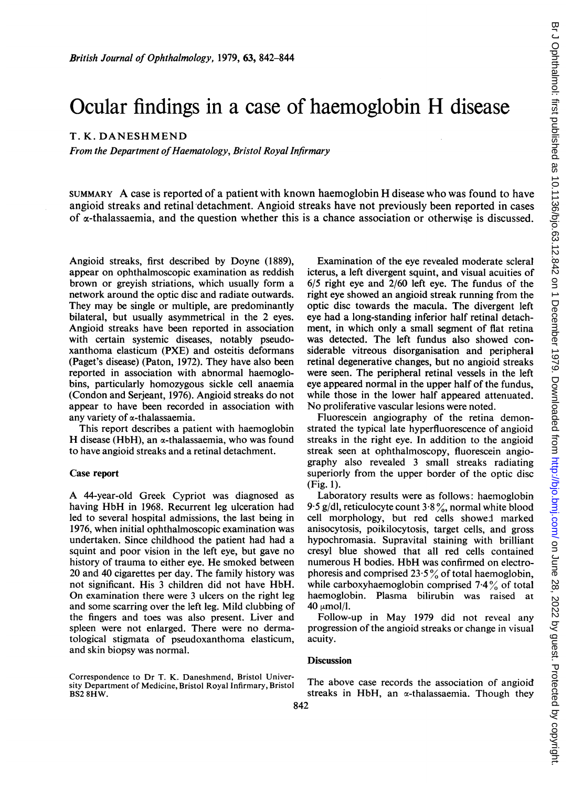# Ocular findings in <sup>a</sup> case of haemoglobin H disease

## T. K. DANESHMEND

From the Department of Haematology, Bristol Royal Infirmary

SUMMARY A case is reported of <sup>a</sup> patient with known haemoglobin H disease who was found to have angioid streaks and retinal detachment. Angioid streaks have not previously been reported in cases of  $\alpha$ -thalassaemia, and the question whether this is a chance association or otherwise is discussed.

Angioid streaks, first described by Doyne (1889), appear on ophthalmoscopic examination as reddish brown or greyish striations, which usually form a network around the optic disc and radiate outwards. They may be single or multiple, are predominantly bilateral, but usually asymmetrical in the 2 eyes. Angioid streaks have been reported in association with certain systemic diseases, notably pseudoxanthoma elasticum (PXE) and osteitis deformans (Paget's disease) (Paton, 1972). They have also been reported in association with abnormal haemoglobins, particularly homozygous sickle cell anaemia (Condon and Serjeant, 1976). Angioid streaks do not appear to have been recorded in association with any variety of  $\alpha$ -thalassaemia.

This report describes a patient with haemoglobin H disease (HbH), an  $\alpha$ -thalassaemia, who was found to have angioid streaks and a retinal detachment.

#### Case report

A 44-year-old Greek Cypriot was diagnosed as having HbH in 1968. Recurrent leg ulceration had led to several hospital admissions, the last being in 1976, when initial ophthalmoscopic examination was undertaken. Since childhood the patient had had a squint and poor vision in the left eye, but gave no history of trauma to either eye. He smoked between 20 and 40 cigarettes per day. The family history was not significant. His <sup>3</sup> children did not have HbH. On examination there were <sup>3</sup> ulcers on the right leg and some scarring over the left leg. Mild clubbing of the fingers and toes was also present. Liver and spleen were not enlarged. There were no dermatological stigmata of pseudoxanthoma elasticum, and skin biopsy was normal.

Correspondence to Dr T. K. Daneshmend, Bristol University Department of Medicine, Bristol Royal Infirmary, Bristol BS2 8HW.

Examination of the eye revealed moderate scleral icterus, a left divergent squint, and visual acuities of 6/5 right eye and 2/60 left eye. The fundus of the right eye showed an angioid streak running from the optic disc towards the macula. The divergent left eye had a long-standing inferior half retinal detachment, in which only a small segment of flat retina was detected. The left fundus also showed considerable vitreous disorganisation and peripheral retinal degenerative changes, but no angioid streaks were seen. The peripheral retinal vessels in the left eye appeared normal in the upper half of the fundus, while those in the lower half appeared attenuated. No proliferative vascular lesions were noted.

Fluorescein angiography of the retina demonstrated the typical late hyperfluorescence of angioid streaks in the right eye. In addition to the angioid streak seen at ophthalmoscopy, fluorescein angiography also revealed 3 small streaks radiating superiorly from the upper border of the optic disc (Fig. 1).

Laboratory results were as follows: haemoglobin 9.5 g/dl, reticulocyte count  $3.8\%$ , normal white blood cell morphology, but red cells showed marked anisocytosis, poikilocytosis, target cells, and gross hypochromasia. Supravital staining with brilliant cresyl blue showed that all red cells contained numerous H bodies. HbH was confirmed on electrophoresis and comprised  $23.5\%$  of total haemoglobin, while carboxyhaemoglobin comprised  $7.4\%$  of total haemoglobin. Plasma bilirubin was raised at 40  $\mu$ mol/l.

Follow-up in May 1979 did not reveal any progression of the angioid streaks or change in visual acuity.

### **Discussion**

The above case records the association of angioid streaks in HbH, an  $\alpha$ -thalassaemia. Though they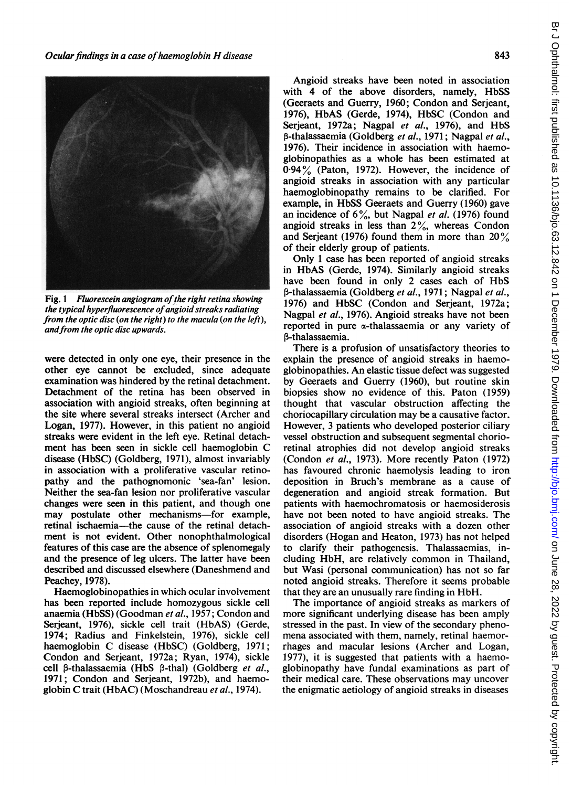

Fig. 1 Fluorescein angiogram of the right retina showing the typical hyperfluorescence of angioid streaks radiating from the optic disc (on the right) to the macula (on the left), and from the optic disc upwards.

were detected in only one eye, their presence in the other eye cannot be excluded, since adequate examination was hindered by the retinal detachment. Detachment of the retina has been observed in association with angioid streaks, often beginning at the site where several streaks intersect (Archer and Logan, 1977). However, in this patient no angioid streaks were evident in the left eye. Retinal detachment has been seen in sickle cell haemoglobin C disease (HbSC) (Goldberg, 1971), almost invariably in association with a proliferative vascular retinopathy and the pathognomonic 'sea-fan' lesion. Neither the sea-fan lesion nor proliferative vascular changes were seen in this patient, and though one may postulate other mechanisms—for example, retinal ischaemia-the cause of the retinal detachment is not evident. Other nonophthalmological features of this case are the absence of splenomegaly and the presence of leg ulcers. The latter have been described and discussed elsewhere (Daneshmend and Peachey,1978).

Haemoglobinopathies in which ocular involvement has been reported include homozygous sickle cell anaemia (HbSS) (Goodman et al., 1957; Condon and Serjeant, 1976), sickle cell trait (HbAS) (Gerde, 1974; Radius and Finkelstein, 1976), sickle cell haemoglobin C disease (HbSC) (Goldberg, 1971; Condon and Serjeant, 1972a; Ryan, 1974), sickle cell  $\beta$ -thalassaemia (HbS  $\beta$ -thal) (Goldberg et al., 1971; Condon and Serjeant, 1972b), and haemoglobin C trait (HbAC) (Moschandreau et al., 1974).

Angioid streaks have been noted in association with 4 of the above disorders, namely, HbSS (Geeraets and Guerry, 1960; Condon and Serjeant, 1976), HbAS (Gerde, 1974), HbSC (Condon and Serjeant, 1972a; Nagpal et al., 1976), and HbS β-thalassaemia (Goldberg et al., 1971; Nagpal et al., 1976). Their incidence in association with haemoglobinopathies as a whole has been estimated at 0-94% (Paton, 1972). However, the incidence of angioid streaks in association with any particular haemoglobinopathy remains to be clarified. For example, in HbSS Geeraets and Guerry (1960) gave an incidence of  $6\%$ , but Nagpal et al. (1976) found angioid streaks in less than  $2\%$ , whereas Condon and Serjeant (1976) found them in more than  $20\%$ of their elderly group of patients.

Only <sup>1</sup> case has been reported of angioid streaks in HbAS (Gerde, 1974). Similarly angioid streaks have been found in only 2 cases each of HbS β-thalassaemia (Goldberg et al., 1971; Nagpal et al., 1976) and HbSC (Condon and Serjeant, 1972a; Nagpal et al., 1976). Angioid streaks have not been reported in pure  $\alpha$ -thalassaemia or any variety of P-thalassaemia.

There is a profusion of unsatisfactory theories to explain the presence of angioid streaks in haemoglobinopathies. An elastic tissue defect was suggested by Geeraets and Guerry (1960), but routine skin biopsies show no evidence of this. Paton (1959) thought that vascular obstruction affecting the choriocapillary circulation may be a causative factor. However, <sup>3</sup> patients who developed posterior ciliary vessel obstruction and subsequent segmental chorioretinal atrophies did not develop angioid streaks (Condon et al., 1973). More recently Paton (1972) has favoured chronic haemolysis leading to iron deposition in Bruch's membrane as a cause of degeneration and angioid streak formation. But patients with haemochromatosis or haemosiderosis have not been noted to have angioid streaks. The association of angioid streaks with a dozen other disorders (Hogan and Heaton, 1973) has not helped to clarify their pathogenesis. Thalassaemias, including HbH, are relatively common in Thailand, but Wasi (personal communication) has not so far noted angioid streaks. Therefore it seems probable that they are an unusually rare finding in HbH.

The importance of angioid streaks as markers of more significant underlying disease has been amply stressed in the past. In view of the secondary phenomena associated with them, namely, retinal haemorrhages and macular lesions (Archer and Logan, 1977), it is suggested that patients with a haemoglobinopathy have fundal examinations as part of their medical care. These observations may uncover the enigmatic aetiology of angioid streaks in diseases